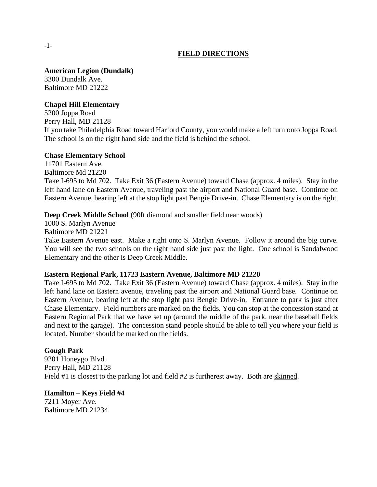# **FIELD DIRECTIONS**

#### **American Legion (Dundalk)**

3300 Dundalk Ave. Baltimore MD 21222

#### **Chapel Hill Elementary**

5200 Joppa Road Perry Hall, MD 21128 If you take Philadelphia Road toward Harford County, you would make a left turn onto Joppa Road. The school is on the right hand side and the field is behind the school.

#### **Chase Elementary School**

11701 Eastern Ave. Baltimore Md 21220 Take I-695 to Md 702. Take Exit 36 (Eastern Avenue) toward Chase (approx. 4 miles). Stay in the left hand lane on Eastern Avenue, traveling past the airport and National Guard base. Continue on Eastern Avenue, bearing left at the stop light past Bengie Drive-in. Chase Elementary is on the right.

## **Deep Creek Middle School** (90ft diamond and smaller field near woods)

1000 S. Marlyn Avenue Baltimore MD 21221

Take Eastern Avenue east. Make a right onto S. Marlyn Avenue. Follow it around the big curve. You will see the two schools on the right hand side just past the light. One school is Sandalwood Elementary and the other is Deep Creek Middle.

#### **Eastern Regional Park, 11723 Eastern Avenue, Baltimore MD 21220**

Take I-695 to Md 702. Take Exit 36 (Eastern Avenue) toward Chase (approx. 4 miles). Stay in the left hand lane on Eastern avenue, traveling past the airport and National Guard base. Continue on Eastern Avenue, bearing left at the stop light past Bengie Drive-in. Entrance to park is just after Chase Elementary. Field numbers are marked on the fields. You can stop at the concession stand at Eastern Regional Park that we have set up (around the middle of the park, near the baseball fields and next to the garage). The concession stand people should be able to tell you where your field is located. Number should be marked on the fields.

#### **Gough Park**

9201 Honeygo Blvd. Perry Hall, MD 21128 Field #1 is closest to the parking lot and field #2 is furtherest away. Both are skinned.

#### **Hamilton – Keys Field #4** 7211 Moyer Ave. Baltimore MD 21234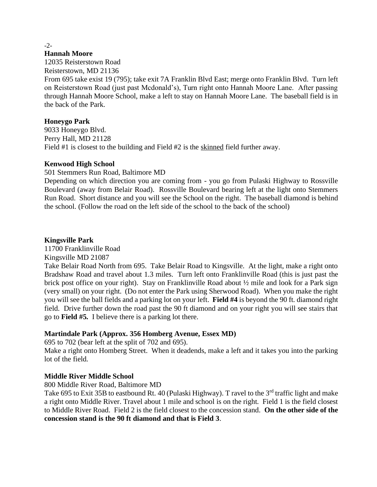$-2$ 

#### **Hannah Moore**

12035 Reisterstown Road

Reisterstown, MD 21136

From 695 take exist 19 (795); take exit 7A Franklin Blvd East; merge onto Franklin Blvd. Turn left on Reisterstown Road (just past Mcdonald's), Turn right onto Hannah Moore Lane. After passing through Hannah Moore School, make a left to stay on Hannah Moore Lane. The baseball field is in the back of the Park.

# **Honeygo Park**

9033 Honeygo Blvd. Perry Hall, MD 21128 Field #1 is closest to the building and Field #2 is the skinned field further away.

# **Kenwood High School**

501 Stemmers Run Road, Baltimore MD

Depending on which direction you are coming from - you go from Pulaski Highway to Rossville Boulevard (away from Belair Road). Rossville Boulevard bearing left at the light onto Stemmers Run Road. Short distance and you will see the School on the right. The baseball diamond is behind the school. (Follow the road on the left side of the school to the back of the school)

# **Kingsville Park**

11700 Franklinville Road

Kingsville MD 21087

Take Belair Road North from 695. Take Belair Road to Kingsville. At the light, make a right onto Bradshaw Road and travel about 1.3 miles. Turn left onto Franklinville Road (this is just past the brick post office on your right). Stay on Franklinville Road about ½ mile and look for a Park sign (very small) on your right. (Do not enter the Park using Sherwood Road). When you make the right you will see the ball fields and a parking lot on your left. **Field #4** is beyond the 90 ft. diamond right field. Drive further down the road past the 90 ft diamond and on your right you will see stairs that go to **Field #5.** I believe there is a parking lot there.

# **Martindale Park (Approx. 356 Homberg Avenue, Essex MD)**

695 to 702 (bear left at the split of 702 and 695).

Make a right onto Homberg Street. When it deadends, make a left and it takes you into the parking lot of the field.

# **Middle River Middle School**

800 Middle River Road, Baltimore MD

Take 695 to Exit 35B to eastbound Rt. 40 (Pulaski Highway). T ravel to the 3<sup>rd</sup> traffic light and make a right onto Middle River. Travel about 1 mile and school is on the right. Field 1 is the field closest to Middle River Road. Field 2 is the field closest to the concession stand. **On the other side of the concession stand is the 90 ft diamond and that is Field 3**.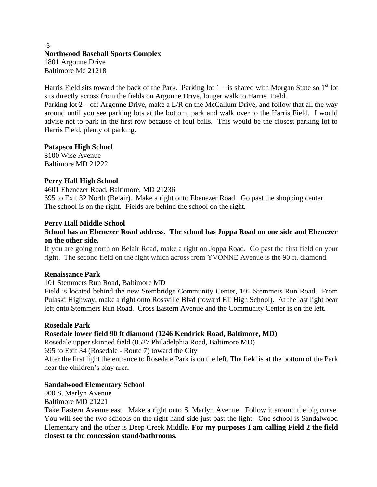## -3- **Northwood Baseball Sports Complex** 1801 Argonne Drive Baltimore Md 21218

Harris Field sits toward the back of the Park. Parking lot  $1 -$  is shared with Morgan State so  $1<sup>st</sup>$  lot sits directly across from the fields on Argonne Drive, longer walk to Harris Field.

Parking lot 2 – off Argonne Drive, make a L/R on the McCallum Drive, and follow that all the way around until you see parking lots at the bottom, park and walk over to the Harris Field. I would advise not to park in the first row because of foul balls. This would be the closest parking lot to Harris Field, plenty of parking.

## **Patapsco High School**

8100 Wise Avenue Baltimore MD 21222

# **Perry Hall High School**

4601 Ebenezer Road, Baltimore, MD 21236 695 to Exit 32 North (Belair). Make a right onto Ebenezer Road. Go past the shopping center. The school is on the right. Fields are behind the school on the right.

# **Perry Hall Middle School**

# **School has an Ebenezer Road address. The school has Joppa Road on one side and Ebenezer on the other side.**

If you are going north on Belair Road, make a right on Joppa Road. Go past the first field on your right. The second field on the right which across from YVONNE Avenue is the 90 ft. diamond.

## **Renaissance Park**

101 Stemmers Run Road, Baltimore MD

Field is located behind the new Stembridge Community Center, 101 Stemmers Run Road. From Pulaski Highway, make a right onto Rossville Blvd (toward ET High School). At the last light bear left onto Stemmers Run Road. Cross Eastern Avenue and the Community Center is on the left.

## **Rosedale Park**

# **Rosedale lower field 90 ft diamond (1246 Kendrick Road, Baltimore, MD)**

Rosedale upper skinned field (8527 Philadelphia Road, Baltimore MD)

695 to Exit 34 (Rosedale - Route 7) toward the City

After the first light the entrance to Rosedale Park is on the left. The field is at the bottom of the Park near the children's play area.

## **Sandalwood Elementary School**

900 S. Marlyn Avenue Baltimore MD 21221

Take Eastern Avenue east. Make a right onto S. Marlyn Avenue. Follow it around the big curve. You will see the two schools on the right hand side just past the light. One school is Sandalwood Elementary and the other is Deep Creek Middle. **For my purposes I am calling Field 2 the field closest to the concession stand/bathrooms.**